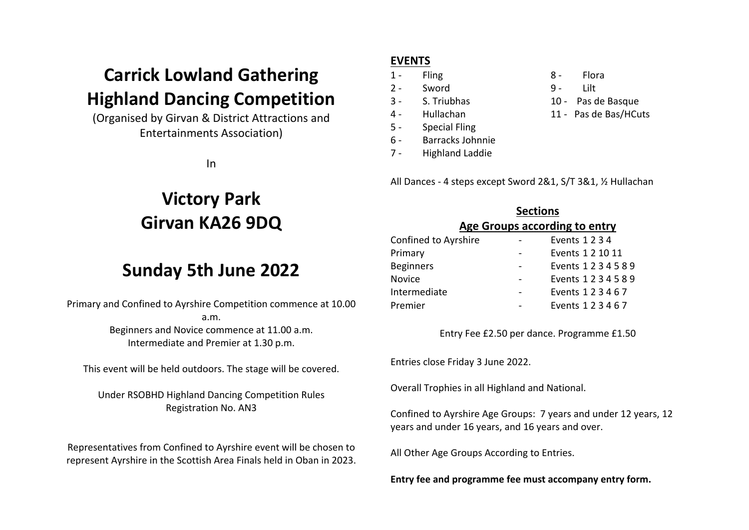## **Carrick Lowland Gathering Highland Dancing Competition**

(Organised by Girvan & District Attractions and Entertainments Association)

In

# **Victory Park Girvan KA26 9DQ**

### **Sunday 5th June 2022**

Primary and Confined to Ayrshire Competition commence at 10.00 a.m. Beginners and Novice commence at 11.00 a.m. Intermediate and Premier at 1.30 p.m.

This event will be held outdoors. The stage will be covered.

Under RSOBHD Highland Dancing Competition Rules Registration No. AN3

Representatives from Confined to Ayrshire event will be chosen to represent Ayrshire in the Scottish Area Finals held in Oban in 2023.

#### **EVENTS**

- 
- 2 Sword 9 Lilt
- 3 S. Triubhas 10 Pas de Basque
- 4 Hullachan 11 Pas de Bas/HCuts
- 5 Special Fling
- 6 Barracks Johnnie
- 7 Highland Laddie

All Dances - 4 steps except Sword 2&1, S/T 3&1, ½ Hullachan

|                      | <b>Sections</b>               |                      |  |
|----------------------|-------------------------------|----------------------|--|
|                      | Age Groups according to entry |                      |  |
| Confined to Ayrshire |                               | Events 1234          |  |
| Primary              |                               | Events 1 2 10 11     |  |
| <b>Beginners</b>     |                               | Events 1 2 3 4 5 8 9 |  |
| Novice               |                               | Events 1234589       |  |
| Intermediate         |                               | Events 123467        |  |
| Premier              |                               | Events 123467        |  |

Entry Fee £2.50 per dance. Programme £1.50

Entries close Friday 3 June 2022.

Overall Trophies in all Highland and National.

Confined to Ayrshire Age Groups: 7 years and under 12 years, 12 years and under 16 years, and 16 years and over.

All Other Age Groups According to Entries.

**Entry fee and programme fee must accompany entry form.**

- 1 Fling 2012 8 Flora
	-
	-
	-